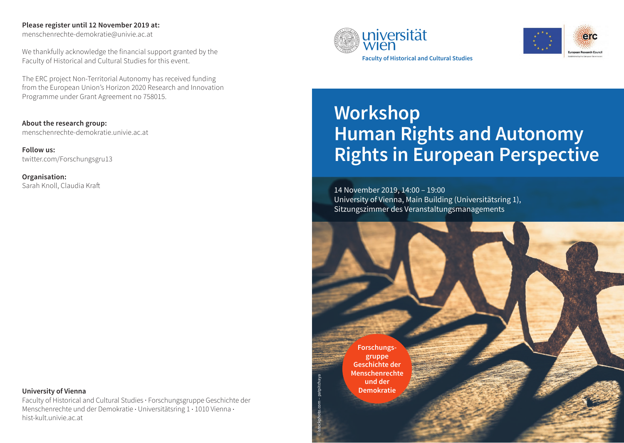#### **Please register until 12 November 2019 at:**

menschenrechte-demokratie@univie.ac.at

We thankfully acknowledge the financial support granted by the Faculty of Historical and Cultural Studies for this event.

The ERC project Non-Territorial Autonomy has received funding from the European Union's Horizon 2020 Research and Innovation Programme under Grant Agreement no 758015.

**About the research group:** menschenrechte-demokratie.univie.ac.at

**Follow us:** twitter.com/Forschungsgru13

**Organisation:** Sarah Knoll, Claudia Kraft

#### **University of Vienna**

Faculty of Historical and Cultural Studies · Forschungsgruppe Geschichte der Menschenrechte und der Demokratie · Universitätsring 1 · 1010 Vienna · hist-kult.univie.ac.at





# **Workshop Human Rights and Autonomy Rights in European Perspective**

14 November 2019, 14:00 – 19:00 University of Vienna, Main Building (Universitätsring 1), Sitzungszimmer des Veranstaltungsmanagements

**Forschungsgruppe Geschichte der Menschenrechte und der Demokratie**

© istockphoto.com – patpitchaya